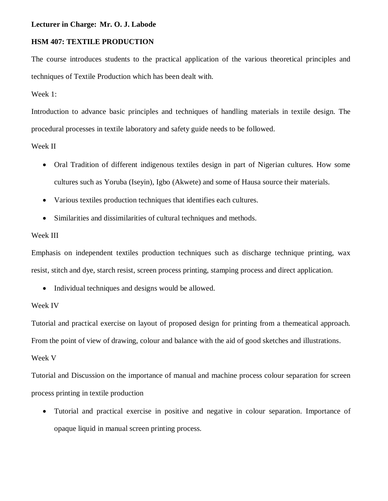## **Lecturer in Charge: Mr. O. J. Labode**

# **HSM 407: TEXTILE PRODUCTION**

The course introduces students to the practical application of the various theoretical principles and techniques of Textile Production which has been dealt with.

Week 1:

Introduction to advance basic principles and techniques of handling materials in textile design. The procedural processes in textile laboratory and safety guide needs to be followed.

Week II

- Oral Tradition of different indigenous textiles design in part of Nigerian cultures. How some cultures such as Yoruba (Iseyin), Igbo (Akwete) and some of Hausa source their materials.
- Various textiles production techniques that identifies each cultures.
- Similarities and dissimilarities of cultural techniques and methods.

#### Week III

Emphasis on independent textiles production techniques such as discharge technique printing, wax resist, stitch and dye, starch resist, screen process printing, stamping process and direct application.

• Individual techniques and designs would be allowed.

#### Week IV

Tutorial and practical exercise on layout of proposed design for printing from a themeatical approach.

From the point of view of drawing, colour and balance with the aid of good sketches and illustrations.

Week V

Tutorial and Discussion on the importance of manual and machine process colour separation for screen process printing in textile production

 Tutorial and practical exercise in positive and negative in colour separation. Importance of opaque liquid in manual screen printing process.